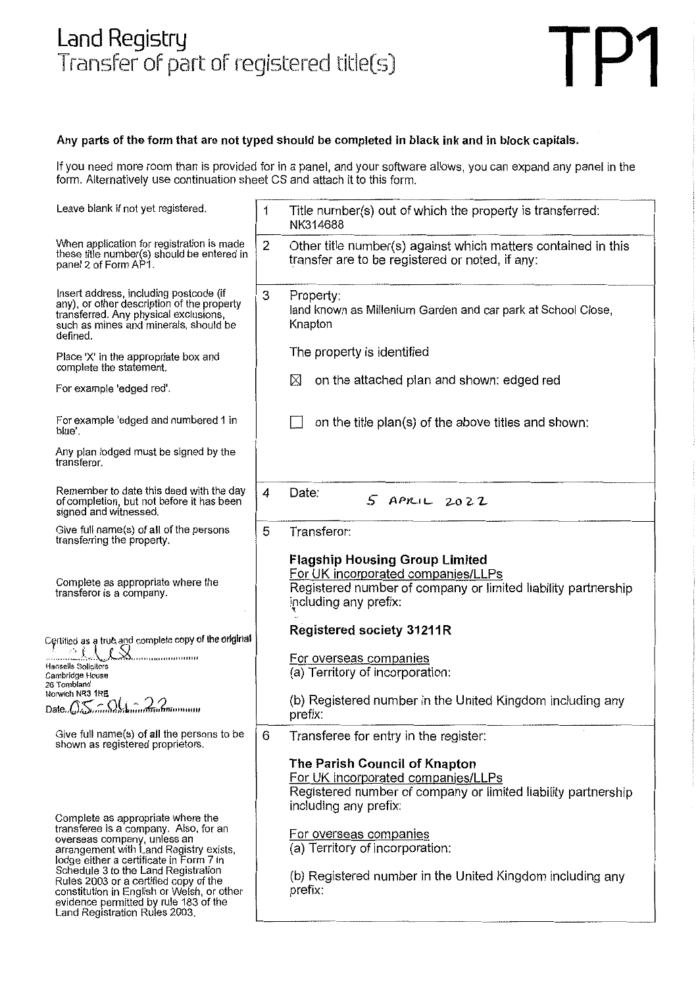# Land Registry Transfer of part of registered title(s)



#### Any parts of the form that are not typed should be completed in black ink and in block capitals.

If you need more room than is provided for in a panel, and your software allows, you can expand any panel in the form. Alternatively use continuation sheet CS and attach it to this form.

| Leave blank if not yet registered.                                                                                                                                                                                                                                                                                                                                    | 1              | Title number(s) out of which the property is transferred:<br>NK314688                                                                                                                                                                                                                              |
|-----------------------------------------------------------------------------------------------------------------------------------------------------------------------------------------------------------------------------------------------------------------------------------------------------------------------------------------------------------------------|----------------|----------------------------------------------------------------------------------------------------------------------------------------------------------------------------------------------------------------------------------------------------------------------------------------------------|
| When application for registration is made<br>these title number(s) should be entered in<br>panel 2 of Form AP1.                                                                                                                                                                                                                                                       | 2              | Other title number(s) against which matters contained in this<br>transfer are to be registered or noted, if any:                                                                                                                                                                                   |
| Insert address, including postcode (if<br>any), or other description of the property<br>transferred. Any physical exclusions,<br>such as mines and minerals, should be<br>defined.                                                                                                                                                                                    | 3              | Property:<br>land known as Millenium Garden and car park at School Close,<br>Knapton                                                                                                                                                                                                               |
| Place 'X' in the appropriate box and<br>complete the statement.                                                                                                                                                                                                                                                                                                       |                | The property is identified                                                                                                                                                                                                                                                                         |
| For example 'edged red'.                                                                                                                                                                                                                                                                                                                                              |                | on the attached plan and shown: edged red<br>X                                                                                                                                                                                                                                                     |
| For example 'edged and numbered 1 in<br>blue'.                                                                                                                                                                                                                                                                                                                        |                | on the title plan(s) of the above titles and shown:                                                                                                                                                                                                                                                |
| Any plan lodged must be signed by the<br>transferor.                                                                                                                                                                                                                                                                                                                  |                |                                                                                                                                                                                                                                                                                                    |
| Remember to date this deed with the day<br>of completion, but not before it has been<br>signed and witnessed.                                                                                                                                                                                                                                                         | $\overline{4}$ | Date:<br>$5$ APRIL $2022$                                                                                                                                                                                                                                                                          |
| Give full name(s) of all of the persons<br>transferring the property.                                                                                                                                                                                                                                                                                                 | 5              | Transferor:                                                                                                                                                                                                                                                                                        |
| Complete as appropriate where the<br>transferor is a company.                                                                                                                                                                                                                                                                                                         |                | <b>Flagship Housing Group Limited</b><br>For UK incorporated companies/LLPs<br>Registered number of company or limited liability partnership<br>including any prefix:                                                                                                                              |
| Certified as a true and complete copy of the original                                                                                                                                                                                                                                                                                                                 |                | <b>Registered society 31211R</b>                                                                                                                                                                                                                                                                   |
| $m_{\rm H}$<br>Hansells Solicitors<br>Cambridge House<br>26 Tombland                                                                                                                                                                                                                                                                                                  |                | For overseas companies<br>(a) Territory of incorporation:                                                                                                                                                                                                                                          |
| Norwich NR3 1RE<br>Date. O. Summan hummann                                                                                                                                                                                                                                                                                                                            |                | (b) Registered number in the United Kingdom including any<br>prefix:                                                                                                                                                                                                                               |
| Give full name(s) of all the persons to be<br>shown as registered proprietors.                                                                                                                                                                                                                                                                                        | 6              | Transferee for entry in the register:                                                                                                                                                                                                                                                              |
| Complete as appropriate where the<br>transferee is a company. Also, for an<br>overseas company, unless an<br>arrangement with Land Registry exists,<br>lodge either a certificate in Form 7 in<br>Schedule 3 to the Land Registration<br>Rules 2003 or a certified copy of the<br>constitution in English or Welsh, or other<br>evidence permitted by rule 183 of the |                | The Parish Council of Knapton<br>For UK incorporated companies/LLPs<br>Registered number of company or limited liability partnership<br>including any prefix:<br>For overseas companies<br>(a) Territory of incorporation:<br>(b) Registered number in the United Kingdom including any<br>prefix: |
| Land Registration Rules 2003.                                                                                                                                                                                                                                                                                                                                         |                |                                                                                                                                                                                                                                                                                                    |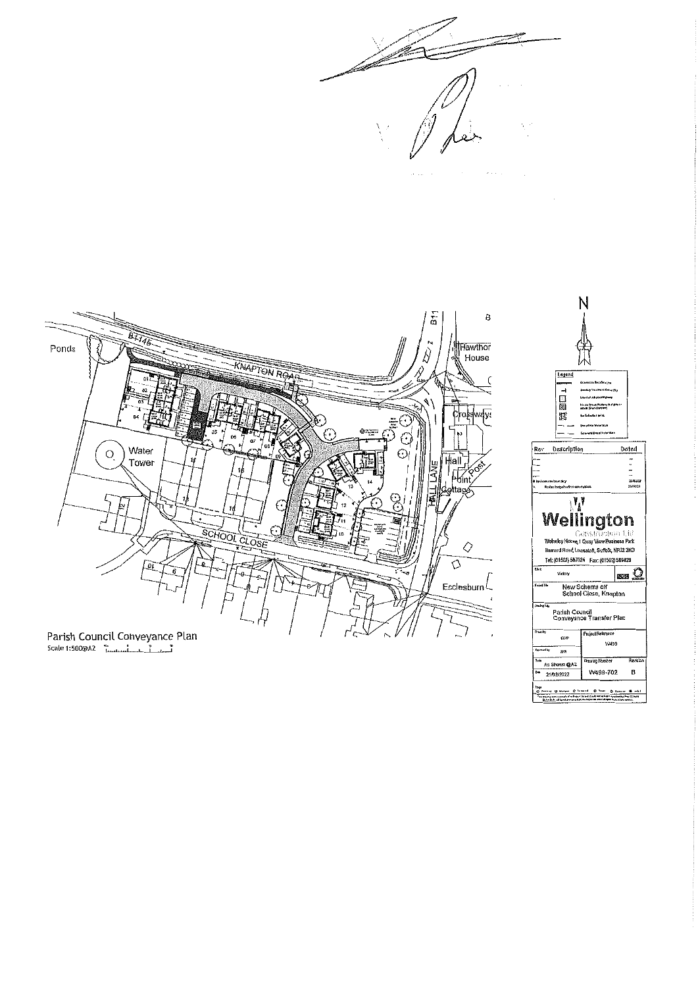





Scale 1:500@AZ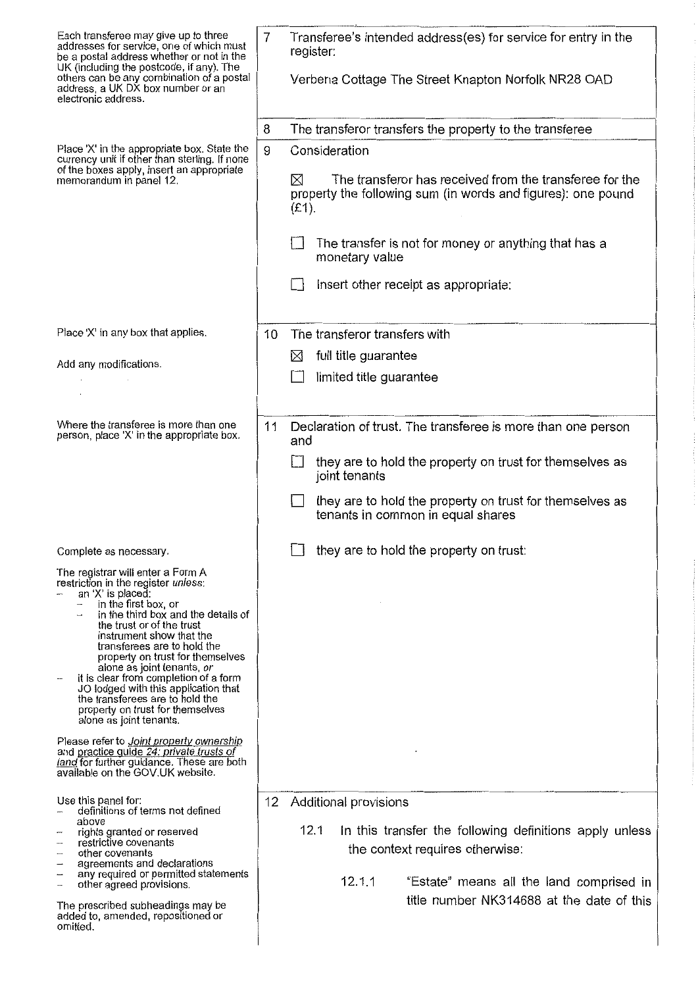| Each transferee may give up to three<br>addresses for service, one of which must<br>be a postal address whether or not in the<br>UK (including the postcode, if any). The                                                                                                                                                                                                                                    |    | Transferee's intended address(es) for service for entry in the<br>register:                                                                    |
|--------------------------------------------------------------------------------------------------------------------------------------------------------------------------------------------------------------------------------------------------------------------------------------------------------------------------------------------------------------------------------------------------------------|----|------------------------------------------------------------------------------------------------------------------------------------------------|
| others can be any combination of a postal<br>address, a UK DX box number or an<br>electronic address.                                                                                                                                                                                                                                                                                                        |    | Verbena Cottage The Street Knapton Norfolk NR28 OAD                                                                                            |
|                                                                                                                                                                                                                                                                                                                                                                                                              | 8  | The transferor transfers the property to the transferee                                                                                        |
| Place 'X' in the appropriate box. State the<br>currency unit if other than sterling. If none                                                                                                                                                                                                                                                                                                                 |    | Consideration                                                                                                                                  |
| of the boxes apply, insert an appropriate<br>memorandum in panel 12.                                                                                                                                                                                                                                                                                                                                         |    | The transferor has received from the transferee for the<br>$\boxtimes$<br>property the following sum (in words and figures): one pound<br>(E1) |
|                                                                                                                                                                                                                                                                                                                                                                                                              |    | The transfer is not for money or anything that has a<br>monetary value                                                                         |
|                                                                                                                                                                                                                                                                                                                                                                                                              |    | Insert other receipt as appropriate:                                                                                                           |
| Place X' in any box that applies.                                                                                                                                                                                                                                                                                                                                                                            | 10 | The transferor transfers with                                                                                                                  |
| Add any modifications.                                                                                                                                                                                                                                                                                                                                                                                       |    | full title guarantee<br>$\bowtie$                                                                                                              |
|                                                                                                                                                                                                                                                                                                                                                                                                              |    | limited title guarantee                                                                                                                        |
|                                                                                                                                                                                                                                                                                                                                                                                                              |    |                                                                                                                                                |
| Where the transferee is more than one<br>person, place 'X' in the appropriate box.                                                                                                                                                                                                                                                                                                                           | 11 | Declaration of trust. The transferee is more than one person<br>and                                                                            |
|                                                                                                                                                                                                                                                                                                                                                                                                              |    | they are to hold the property on trust for themselves as<br>joint tenants                                                                      |
|                                                                                                                                                                                                                                                                                                                                                                                                              |    | they are to hold the property on trust for themselves as<br>tenants in common in equal shares                                                  |
| Complete as necessary                                                                                                                                                                                                                                                                                                                                                                                        |    | they are to hold the property on trust:                                                                                                        |
| The registrar will enter a Form A<br>restriction in the register unless:<br>an 'X' is placed:<br>in the first box, or<br>-<br>in the third box and the details of<br>the trust or of the trust<br>instrument show that the<br>transferees are to hold the<br>property on trust for themselves<br>alone as joint tenants, or<br>it is clear from completion of a form<br>JO lodged with this application that |    |                                                                                                                                                |
| the transferees are to hold the<br>property on trust for themselves<br>alone as joint tenants.                                                                                                                                                                                                                                                                                                               |    |                                                                                                                                                |
| Please refer to <i>Joint property ownership</i><br>and practice guide 24: private trusts of<br>land for further guidance. These are both<br>available on the GOV.UK website.                                                                                                                                                                                                                                 |    |                                                                                                                                                |
| Use this panel for:<br>definitions of terms not defined                                                                                                                                                                                                                                                                                                                                                      | 12 | Additional provisions                                                                                                                          |
| above<br>rights granted or reserved<br>restrictive covenants<br>other covenants<br>-                                                                                                                                                                                                                                                                                                                         |    | 12.1<br>In this transfer the following definitions apply unless<br>the context requires otherwise:                                             |
| agreements and declarations<br>any required or permitted statements<br>$\overline{\phantom{a}}$<br>other agreed provisions.<br>$\overline{\phantom{a}}$                                                                                                                                                                                                                                                      |    | 12.1.1<br>"Estate" means all the land comprised in                                                                                             |
| The prescribed subheadings may be<br>added to, amended, repositioned or<br>omitted.                                                                                                                                                                                                                                                                                                                          |    | title number NK314688 at the date of this                                                                                                      |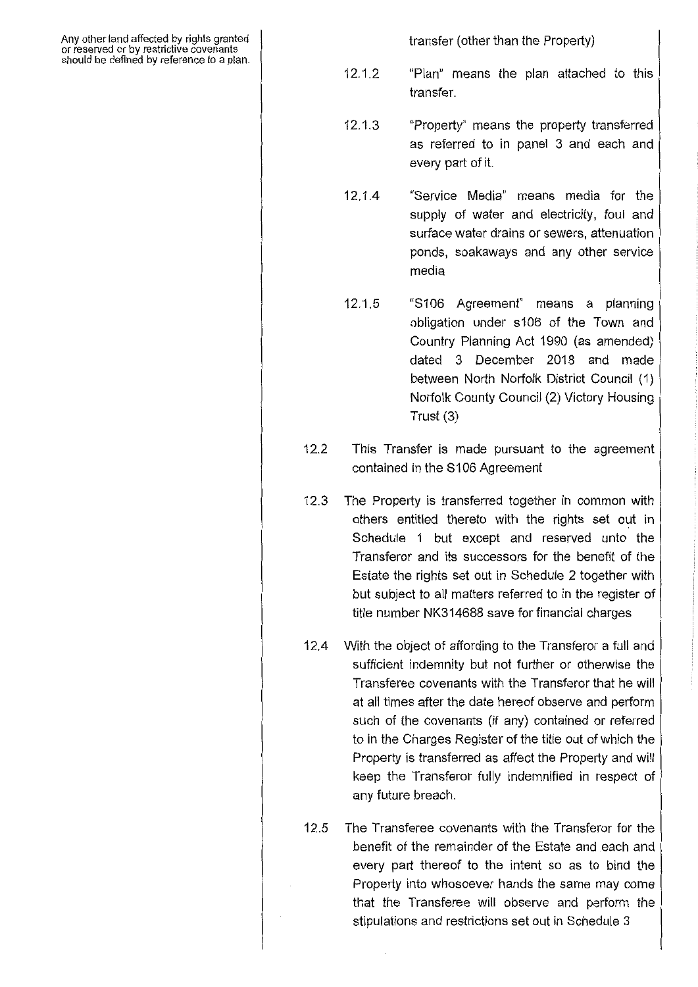Any other land affected by rights granted or reserved or by restrictive covenants should be defined by reference to a plan. transfer (other than the Property)

- 12.1.2 "Plan" means the plan attached to this transfer.
- 12.1.3 "Property" means the property transferred as referred to in panel 3 and each and every part of it.
- 12.1.4 "Service Media" means media for the supply of water and electricity, foul and surface water drains or sewers, attenuation ponds, soakaways and any other service media
- 12.1.5 "S106 Agreement" means a planning obligation under s106 of the Town and Country Planning Act 1990 (as amended) dated 3 December 2018 and made between North Norfolk District Council (1) Norfolk County Council (2) Victory Housing Trust (3)
- 12.2 This Transfer is made pursuant to the agreement contained in the S106 Agreement
- 12.3 The Property is transferred together in common with others entitled thereto with the rights set out in Schedule 1 but except and reserved unto the Transferor and its successors for the benefit of the Estate the rights set out in Schedule 2 together with but subject to all matters referred to in the register of title number NK314688 save for financial charges
- 12.4 With the object of affording to the Transferor a full and sufficient indemnity but not further or otherwise the Transferee covenants with the Transferor that he will at all times after the date hereof observe and perform such of the covenants (if any) contained or referred to in the Charges Register of the title out of which the Property is transferred as affect the Property and will keep the Transferor fully indemnified in respect of any future breach.
- 12.5 The Transferee covenants with the Transferor for the benefit of the remainder of the Estate and each and every part thereof to the intent so as to bind the Property into whosoever hands the same may come that the Transferee will observe and perform the stipulations and restrictions set out in Schedule 3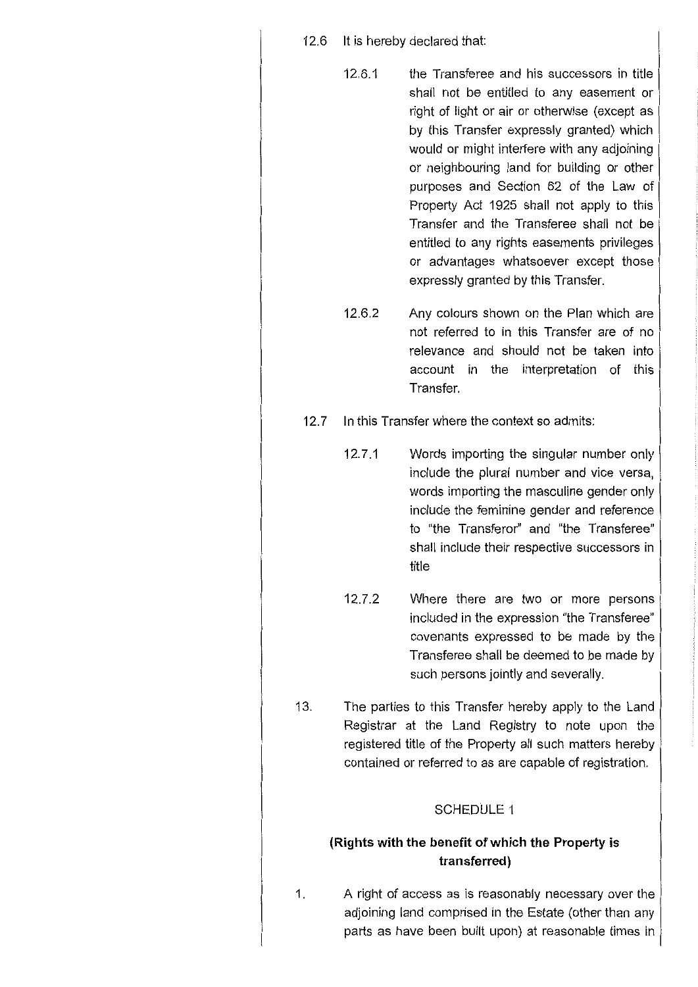- 12.6 It is hereby declared that:
	- 12.6.1 the Transferee and his successors in title shall not be entitled to any easement or right of light or air or otherwise (except as by this Transfer expressly granted) which would or might interfere with any adjoining or neighbouring land for building or other purposes and Section 62 of the Law of Property Act 1925 shall not apply to this Transfer and the Transferee shall not be entitled to any rights easements privileges or advantages whatsoever except those expressly granted by this Transfer.
	- 12.6.2 Any colours shown on the Plan which are not referred to in this Transfer are of no relevance and should not be taken into account in the interpretation of this Transfer.
- 12.7 In this Transfer where the context so admits:
	- 12.7.1 Words importing the singular number only include the plural number and vice versa, words importing the masculine gender only include the feminine gender and reference to "the Transferor" and "the Transferee" shall include their respective successors in title
	- 12.7.2 Where there are two or more persons included in the expression "the Transferee" covenants expressed to be made by the Transferee shall be deemed to be made by such persons jointly and severally.
- 13. The parties to this Transfer hereby apply to the Land Registrar at the Land Registry to note upon the registered title of the Property all such matters hereby contained or referred to as are capable of registration.

### SCHEDULE 1

### **(Rights with the benefit of which the Property is transferred)**

1. A right of access as is reasonably necessary over the adjoining land comprised in the Estate (other than any parts as have been built upon) at reasonable times in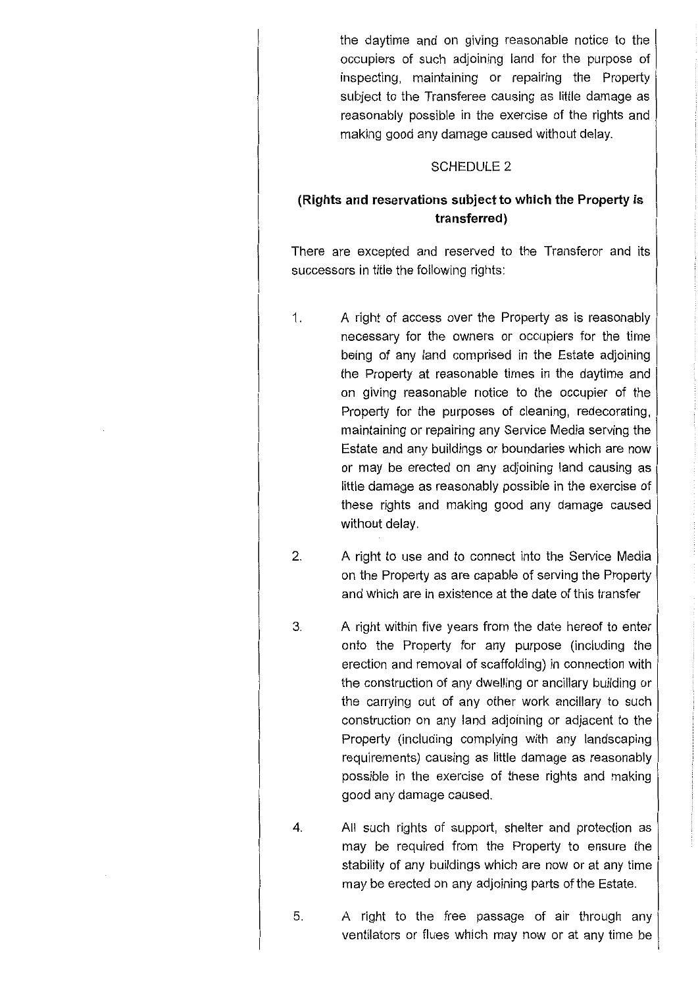the daytime and on giving reasonable notice to the occupiers of such adjoining land for the purpose of inspecting, maintaining or repairing the Property subject to the Transferee causing as little damage as reasonably possible in the exercise of the rights and making good any damage caused without delay.

### SCHEDULE 2

## **(Rights and reservations subject to which the Property is transferred)**

There are excepted and reserved to the Transferor and its successors in title the following rights:

- 1. A right of access over the Property as is reasonably necessary for the owners or occupiers for the time being of any land comprised in the Estate adjoining the Property at reasonable times in the daytime and on giving reasonable notice to the occupier of the Property for the purposes of cleaning, redecorating, maintaining or repairing any Service Media serving the Estate and any buildings or boundaries which are now or may be erected on any adjoining land causing as little damage as reasonably possible in the exercise of these rights and making good any damage caused without delay.
- 2. A right to use and to connect into the Service Media on the Property as are capable of serving the Property and which are in existence at the date of this transfer
- 3. A right within five years from the date hereof to enter onto the Property for any purpose (including the erection and removal of scaffolding) in connection with the construction of any dwelling or ancillary building or the carrying out of any other work ancillary to such construction on any land adjoining or adjacent to the Property (including complying with any landscaping requirements) causing as little damage as reasonably possible in the exercise of these rights and making good any damage caused.
- 4. All such rights of support, shelter and protection as may be required from the Property to ensure the stability of any buildings which are now or at any time may be erected on any adjoining parts of the Estate.
- 5. A right to the free passage of air through any ventilators or flues which may now or at any time be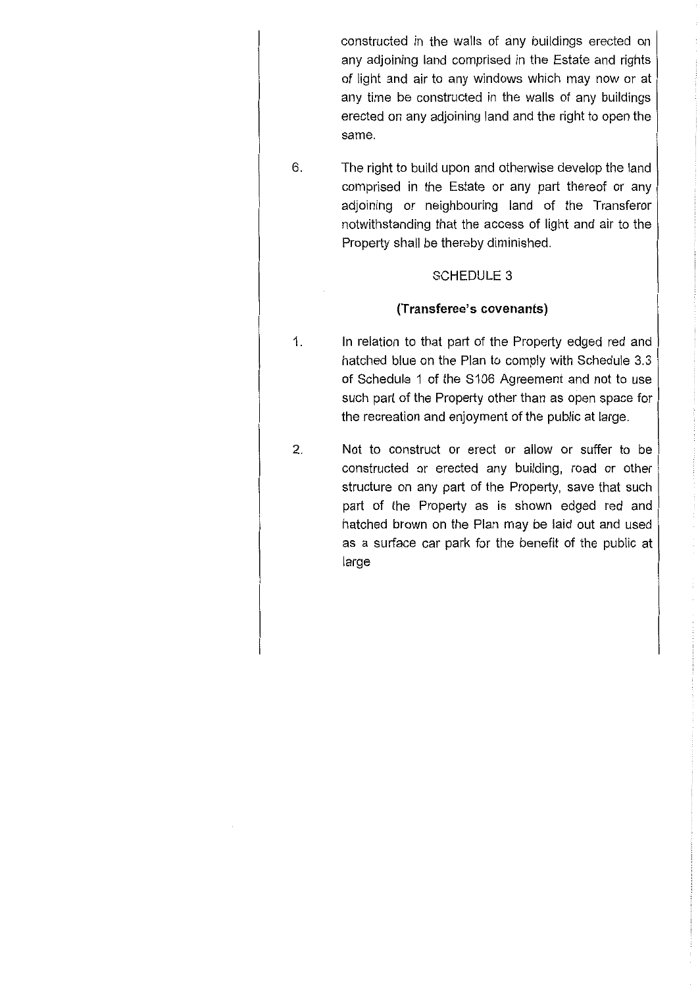constructed in the walls of any buildings erected on any adjoining land comprised in the Estate and rights of light and air to any windows which may now or at any time be constructed in the walls of any buildings erected on any adjoining land and the right to open the same.

6. The right to build upon and otherwise develop the land comprised in the Estate or any part thereof or any adjoining or neighbouring land of the Transferor notwithstanding that the access of light and air to the Property shall be thereby diminished.

### SCHEDULE 3

### **(Transferee's covenants)**

- 1. In relation to that part of the Property edged red and hatched blue on the Plan to comply with Schedule 3.3 of Schedule 1 of the S106 Agreement and not to use such part of the Property other than as open space for the recreation and enjoyment of the public at large.
- 2. Not to construct or erect or allow or suffer to be constructed or erected any building, road or other structure on any part of the Property, save that such part of the Property as is shown edged red and hatched brown on the Plan may be laid out and used as a surface car park for the benefit of the public at large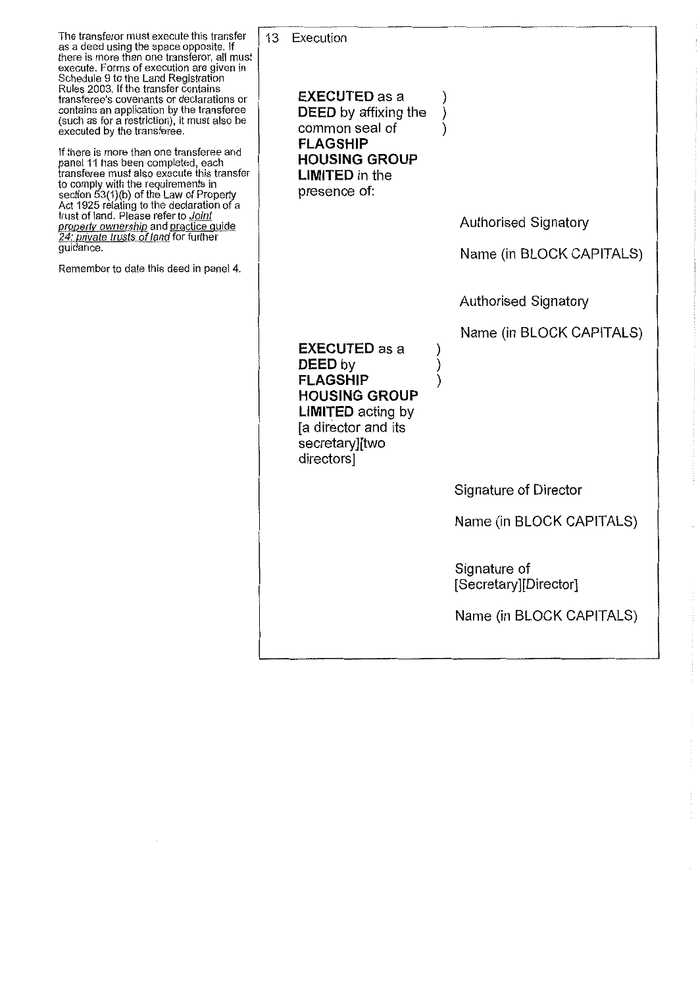The transferor must execute this transfer as a deed using the space opposite. If there is more than one transferor, all must execute. Forms of execution are given in Schedule 9 to the Land Registration Rules 2003. If the transfer contains transferee's covenants or declarations or contains an application by the transferee (such as for a restriction), it must also be executed by the transferee.

If there is more than one transferee and panel 11 has been completed, each transferee must also execute this transfer to comply with the requirements in section 53(1)(b) of the Law of Property Act 1925 relating to the declaration of a trust of land. Please refer to *Joint property ownership* and practice guide *24: private trusts of land for further* guidance.

Remember to date this deed in panel 4.

13 Execution **EXECUTED as a DEED** by affixing the common seal of **FLAGSHIP HOUSING GROUP LIMITED** in the presence of: **EXECUTED as a DEED by FLAGSHIP HOUSING GROUP LIMITED** acting by [a director and its secretary][two directors] ) ) )  $\sum_{i=1}^{n}$ ) ) Authorised Signatory Name (in BLOCK CAPITALS) Authorised Signatory Name (in BLOCK CAPITALS) Signature of Director Name (in BLOCK CAPITALS) Signature of [Secretary][Director]

Name (in BLOCK CAPITALS)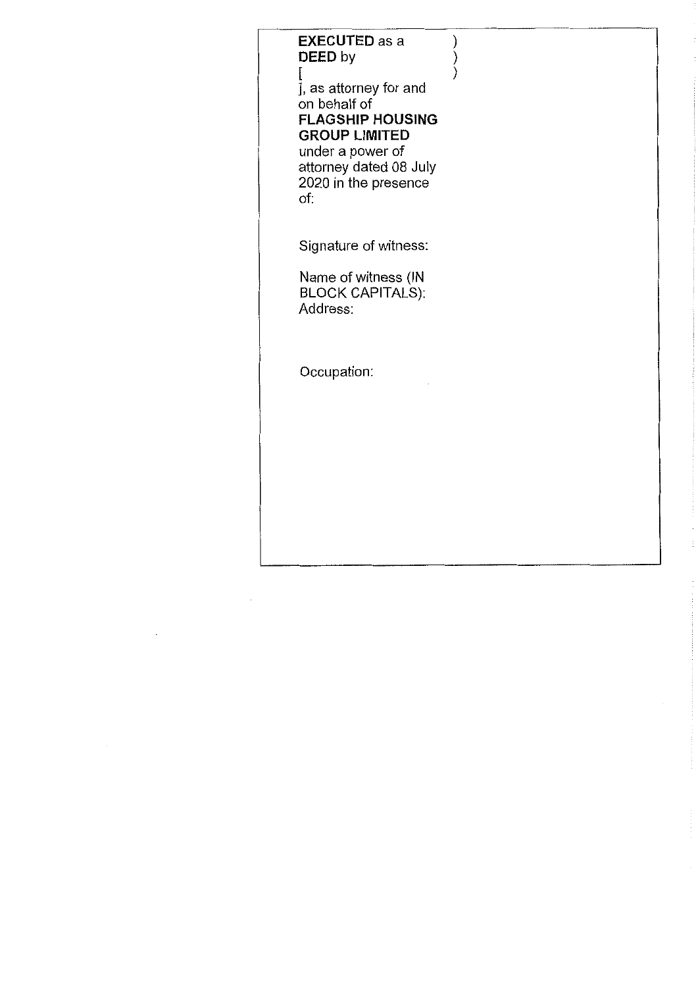## **EXECUTED as a DEED by** [

) ) )

], as attorney for and on behalf of **FLAGSHIP HOUSING GROUP LIMITED** under a power of attorney dated 08 July 2020 in the presence of:

Signature of witness:

Name of witness (IN BLOCK CAPITALS): Address:

Occupation: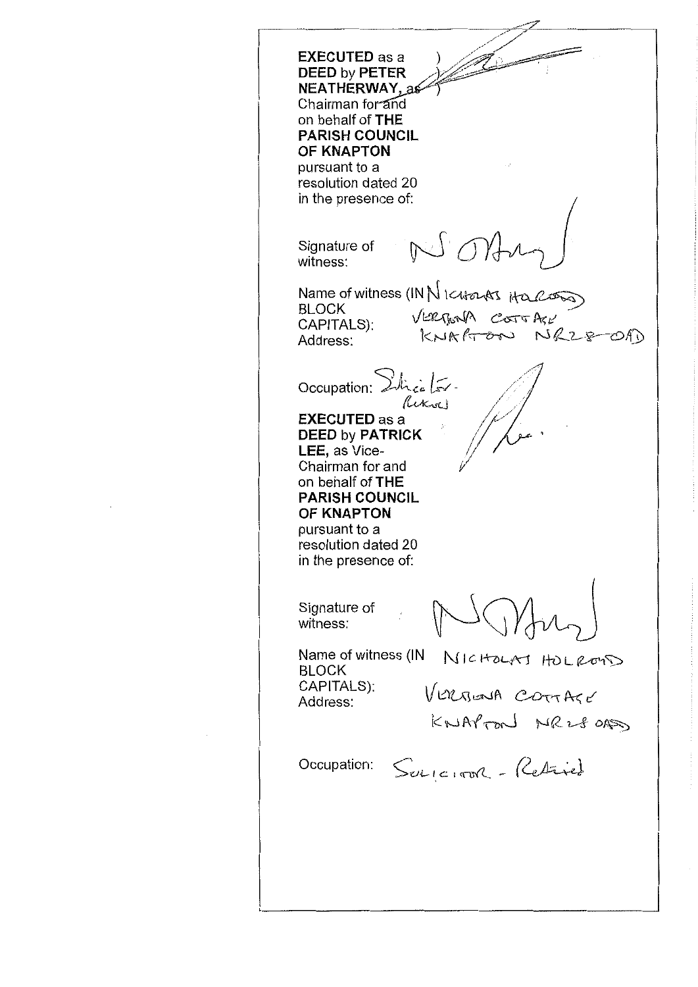**EXECUTED as a DEED by PETER NEATHERWAY** Chairman for and on behalf of **THE PARISH COUNCIL OF KNAPTON** pursuant to a resolution dated 20 in the presence of: NON Signature of witness: Name of witness (IN1\16,14-0-1-A-1 BLOCK VERBONA COTTALL<br>KNAATOON NR28-0AD CAPITALS): Address: Occupation: Dilicialis Riksel **EXECUTED as a DEED by PATRICK LEE,** as Vice-Chairman for and on behalf of **THE PARISH COUNCIL OF KNAPTON** pursuant to a resolution dated 20 in the presence of: Signature of witness: Name of witness (IN NIC HOLAJ HOLLOUS) CAPITALS): VERBOUA COTTAGE Address: KNAPTON NR280AS Occupation:  $S_{\text{ul}(\text{c},\text{tph})}$  - Redrict